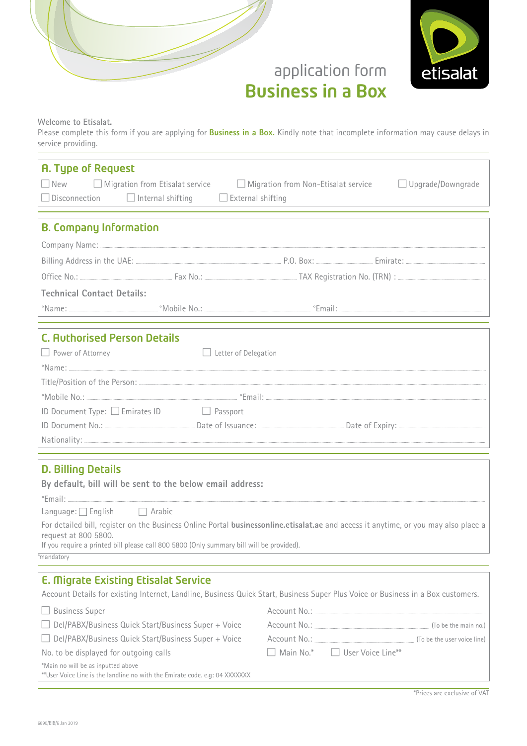



## Welcome to Etisalat.

Please complete this form if you are applying for **Business in a Box.** Kindly note that incomplete information may cause delays in service providing.

| <b>A. Type of Request</b>                                                                                                                                   |                                                                                                            |  |  |
|-------------------------------------------------------------------------------------------------------------------------------------------------------------|------------------------------------------------------------------------------------------------------------|--|--|
| $\Box$ New                                                                                                                                                  | $\Box$ Migration from Etisalat service $\Box$ Migration from Non-Etisalat service $\Box$ Upgrade/Downgrade |  |  |
| $\Box$ Disconnection $\Box$ Internal shifting<br>$\Box$ External shifting                                                                                   |                                                                                                            |  |  |
|                                                                                                                                                             |                                                                                                            |  |  |
| <b>B. Company Information</b>                                                                                                                               |                                                                                                            |  |  |
|                                                                                                                                                             |                                                                                                            |  |  |
|                                                                                                                                                             |                                                                                                            |  |  |
|                                                                                                                                                             |                                                                                                            |  |  |
| <b>Technical Contact Details:</b>                                                                                                                           |                                                                                                            |  |  |
|                                                                                                                                                             |                                                                                                            |  |  |
|                                                                                                                                                             |                                                                                                            |  |  |
| <b>C. Authorised Person Details</b>                                                                                                                         |                                                                                                            |  |  |
| Power of Attorney<br>$\Box$ Letter of Delegation                                                                                                            |                                                                                                            |  |  |
|                                                                                                                                                             |                                                                                                            |  |  |
|                                                                                                                                                             |                                                                                                            |  |  |
|                                                                                                                                                             |                                                                                                            |  |  |
| ID Document Type: □ Emirates ID □ Passport                                                                                                                  |                                                                                                            |  |  |
|                                                                                                                                                             |                                                                                                            |  |  |
|                                                                                                                                                             |                                                                                                            |  |  |
|                                                                                                                                                             |                                                                                                            |  |  |
| <b>D. Billing Details</b>                                                                                                                                   |                                                                                                            |  |  |
| By default, bill will be sent to the below email address:                                                                                                   |                                                                                                            |  |  |
|                                                                                                                                                             |                                                                                                            |  |  |
| Language: $\Box$ English $\Box$ Arabic                                                                                                                      |                                                                                                            |  |  |
| For detailed bill, register on the Business Online Portal businessonline.etisalat.ae and access it anytime, or you may also place a<br>request at 800 5800. |                                                                                                            |  |  |
| If you require a printed bill please call 800 5800 (Only summary bill will be provided).                                                                    |                                                                                                            |  |  |
| <sup>o</sup> mandatory                                                                                                                                      |                                                                                                            |  |  |
| <b>E. Migrate Existing Etisalat Service</b>                                                                                                                 |                                                                                                            |  |  |
| Account Details for existing Internet, Landline, Business Quick Start, Business Super Plus Voice or Business in a Box customers.                            |                                                                                                            |  |  |
| <b>Business Super</b>                                                                                                                                       |                                                                                                            |  |  |
| Del/PABX/Business Quick Start/Business Super + Voice                                                                                                        |                                                                                                            |  |  |
| Del/PABX/Business Quick Start/Business Super + Voice                                                                                                        |                                                                                                            |  |  |
| No. to be displayed for outgoing calls                                                                                                                      | □ User Voice Line**<br>Main No.*                                                                           |  |  |
| *Main no will be as inputted above<br>**User Voice Line is the landline no with the Emirate code. e.g: 04 XXXXXXX                                           |                                                                                                            |  |  |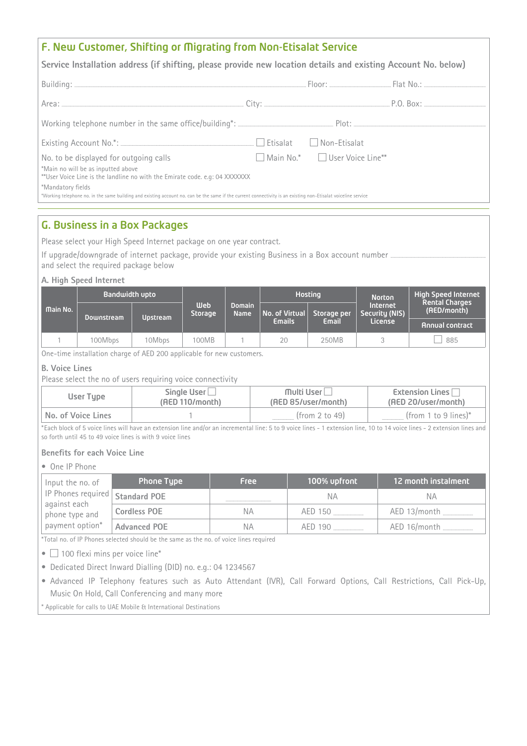## F. New Customer, Shifting or Migrating from Non-Etisalat Service

**(betails 1)** Service Installation address (if shifting, please provide new location details and existing Account No. below)

| No. to be displayed for outgoing calls<br>*Main no will be as inputted above<br>**User Voice Line is the landline no with the Emirate code. e.g: 04 XXXXXXX                         | Main No.*   User Voice Line** |  |
|-------------------------------------------------------------------------------------------------------------------------------------------------------------------------------------|-------------------------------|--|
| *Mandatory fields<br>*Working telephone no. in the same building and existing account no. can be the same if the current connectivity is an existing non-Etisalat voiceline service |                               |  |

## **G. Business in a Box Packages**

Please select your High Speed Internet package on one year contract.

If upgrade/downgrade of internet package, provide your existing Business in a Box account number ..... and select the required package below

### **A. High Speed Internet**

|                 | <b>Bandwidth upto</b> |                 |                |                                                              | <b>Hosting</b> |             | <b>Norton</b>              | <b>High Speed Internet</b>           |
|-----------------|-----------------------|-----------------|----------------|--------------------------------------------------------------|----------------|-------------|----------------------------|--------------------------------------|
| <b>Main No.</b> | Downstream            | <b>Upstream</b> | <b>Storage</b> | <b>Web</b><br><b>Domain</b><br>No. of Virtual<br><b>Name</b> |                | Storage per | Internet<br>Security (NIS) | <b>Rental Charges</b><br>(AED/month) |
|                 |                       |                 |                |                                                              | <b>Emails</b>  | Email       | License                    | <b>Annual contract</b>               |
|                 | 100Mbps               | 10Mbps          | 100MB          |                                                              | 20             | 250MB       |                            | 885                                  |

One-time installation charge of AED 200 applicable for new customers.

### **B.** Voice Lines

Please select the no of users requiring voice connectivity

| User Type          | Single User $\Box$ | Multi User          | Extension Lines $\Box$  |
|--------------------|--------------------|---------------------|-------------------------|
|                    | (AED 110/month)    | (AED 85/user/month) | (AED 20/user/month)     |
| No. of Voice Lines |                    | (from 2 to 49)      | (from 1 to 9 lines) $*$ |

\*Each block of 5 voice lines will have an extension line and/or an incremental line: 5 to 9 voice lines - 1 extension line, 10 to 14 voice lines - 2 extension lines and so forth until 45 to 49 voice lines is with 9 voice lines

## **Benefits for each Voice Line**

• One IP Phone

| Input the no. of                  | <b>Phone Type</b>   | <b>Free</b> | 100% upfront | 12 month instalment |
|-----------------------------------|---------------------|-------------|--------------|---------------------|
| IP Phones required   Standard POE |                     |             | ΝA           | ΝA                  |
| against each<br>phone type and    | <b>Cordless POE</b> | NА          | AED 150      | AED 13/month        |
| payment option*                   | <b>Advanced POE</b> | NА          | AED 190      | AED 16/month        |

\*Total no. of IP Phones selected should be the same as the no. of voice lines required

 $\bullet$  100 flexi mins per voice line\*

• Dedicated Direct Inward Dialling (DID) no. e.g.: 04 1234567

• Advanced IP Telephony features such as Auto Attendant (IVR), Call Forward Options, Call Restrictions, Call Pick-Up, Music On Hold, Call Conferencing and many more

\* Applicable for calls to UAE Mobile & International Destinations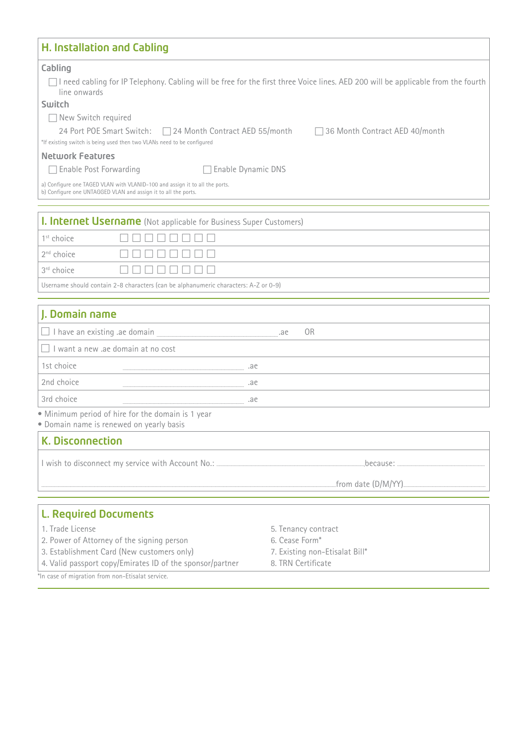| <b>H. Installation and Cabling</b>                                                                                                                          |                                                                                                                                     |  |
|-------------------------------------------------------------------------------------------------------------------------------------------------------------|-------------------------------------------------------------------------------------------------------------------------------------|--|
| Cabling<br>line onwards<br>Switch                                                                                                                           | □ I need cabling for IP Telephony. Cabling will be free for the first three Voice lines. AED 200 will be applicable from the fourth |  |
| New Switch required<br>24 Port POE Smart Switch: □ 24 Month Contract AED 55/month<br>*If existing switch is being used then two VLANs need to be configured | □ 36 Month Contract AED 40/month                                                                                                    |  |
| <b>Network Features</b>                                                                                                                                     |                                                                                                                                     |  |
| □ Enable Post Forwarding<br>Enable Dynamic DNS                                                                                                              |                                                                                                                                     |  |
| a) Configure one TAGED VLAN with VLANID-100 and assign it to all the ports.<br>b) Configure one UNTAGGED VLAN and assign it to all the ports.               |                                                                                                                                     |  |
| <b>I. Internet Username</b> (Not applicable for Business Super Customers)                                                                                   |                                                                                                                                     |  |
| $1st$ choice                                                                                                                                                |                                                                                                                                     |  |
| 2 <sup>nd</sup> choice                                                                                                                                      |                                                                                                                                     |  |
| 3rd choice                                                                                                                                                  |                                                                                                                                     |  |
| Username should contain 2-8 characters (can be alphanumeric characters: A-Z or 0-9)                                                                         |                                                                                                                                     |  |
|                                                                                                                                                             |                                                                                                                                     |  |
| J. Domain name                                                                                                                                              |                                                                                                                                     |  |
|                                                                                                                                                             | 0 <sub>R</sub><br>.ae                                                                                                               |  |
| $\Box$ I want a new .ae domain at no cost                                                                                                                   |                                                                                                                                     |  |
| 1st choice                                                                                                                                                  |                                                                                                                                     |  |
| 2nd choice<br>96.                                                                                                                                           |                                                                                                                                     |  |
| 3rd choice<br>95.                                                                                                                                           |                                                                                                                                     |  |
| • Minimum period of hire for the domain is 1 year<br>· Domain name is renewed on yearly basis                                                               |                                                                                                                                     |  |
| <b>K. Disconnection</b>                                                                                                                                     |                                                                                                                                     |  |
|                                                                                                                                                             |                                                                                                                                     |  |
|                                                                                                                                                             |                                                                                                                                     |  |
| <b>L. Required Documents</b>                                                                                                                                |                                                                                                                                     |  |
| 1. Trade License                                                                                                                                            | 5. Tenancy contract                                                                                                                 |  |
| 2. Power of Attorney of the signing person                                                                                                                  | 6. Cease Form*                                                                                                                      |  |
| 3. Establishment Card (New customers only)                                                                                                                  | 7. Existing non-Etisalat Bill*                                                                                                      |  |
| 4. Valid passport copy/Emirates ID of the sponsor/partner<br>*In case of migration from non-Etisalat service.                                               | 8. TRN Certificate                                                                                                                  |  |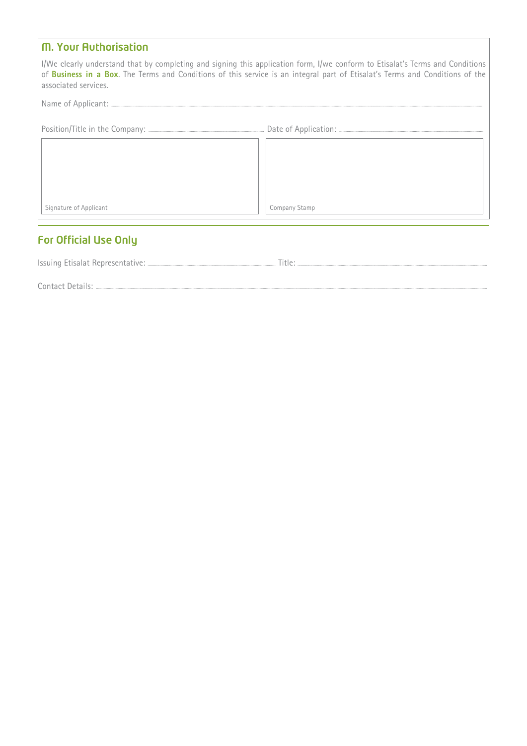| <b>M. Your Authorisation</b> |                                                                                                                                                                                                                                                               |
|------------------------------|---------------------------------------------------------------------------------------------------------------------------------------------------------------------------------------------------------------------------------------------------------------|
| associated services.         | I/We clearly understand that by completing and signing this application form, I/we conform to Etisalat's Terms and Conditions<br>of Business in a Box. The Terms and Conditions of this service is an integral part of Etisalat's Terms and Conditions of the |
|                              |                                                                                                                                                                                                                                                               |
|                              |                                                                                                                                                                                                                                                               |
|                              |                                                                                                                                                                                                                                                               |
|                              |                                                                                                                                                                                                                                                               |
|                              |                                                                                                                                                                                                                                                               |
| Signature of Applicant       | Company Stamp                                                                                                                                                                                                                                                 |

# For Official Use Only